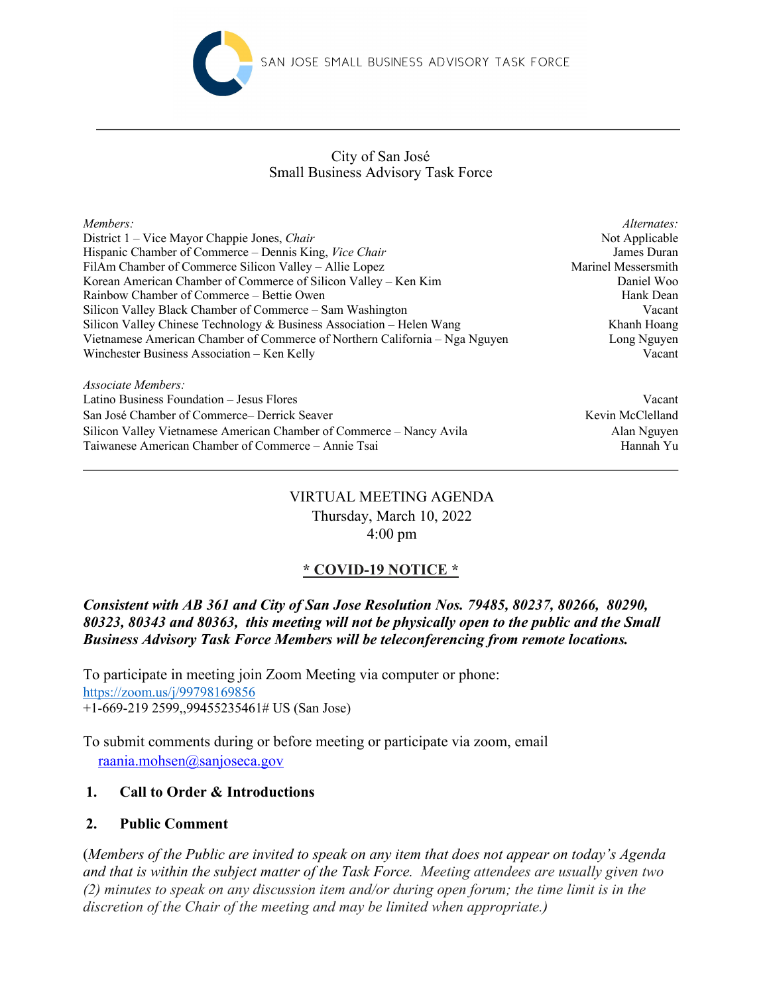

## Small Business Advisory Task Force City of San José

| Members:                                                                    | Alternates:         |
|-----------------------------------------------------------------------------|---------------------|
| District 1 – Vice Mayor Chappie Jones, Chair                                | Not Applicable      |
| Hispanic Chamber of Commerce – Dennis King, Vice Chair                      | James Duran         |
| FilAm Chamber of Commerce Silicon Valley - Allie Lopez                      | Marinel Messersmith |
| Korean American Chamber of Commerce of Silicon Valley – Ken Kim             | Daniel Woo          |
| Rainbow Chamber of Commerce – Bettie Owen                                   | Hank Dean           |
| Silicon Valley Black Chamber of Commerce – Sam Washington                   | Vacant              |
| Silicon Valley Chinese Technology & Business Association – Helen Wang       | Khanh Hoang         |
| Vietnamese American Chamber of Commerce of Northern California - Nga Nguyen | Long Nguyen         |
| Winchester Business Association – Ken Kelly                                 | Vacant              |
| $Associate$ Members                                                         |                     |

Latino Business Foundation – Jesus Flores Vacant San José Chamber of Commerce– Derrick Seaver Kevin McClelland Kevin McClelland Silicon Valley Vietnamese American Chamber of Commerce – Nancy Avila Alan Nguyen Taiwanese American Chamber of Commerce – Annie Tsai Hannah Yu

# VIRTUAL MEETING AGENDA Thursday, March 10, 2022 4:00 pm

# **\* COVID-19 NOTICE \***

*Consistent with AB 361 and City of San Jose Resolution Nos. 79485, 80237, 80266, 80290, 80323, 80343 and 80363, this meeting will not be physically open to the public and the Small Business Advisory Task Force Members will be teleconferencing from remote locations.*

To participate in meeting join Zoom Meeting via computer or phone: https://zoom.us/j/99798169856 +1-669-219 2599,,99455235461# US (San Jose)

To submit comments during or before meeting or participate via zoom, email raania.mohsen@sanjoseca.gov

# **1. Call to Order & Introductions**

## **2. Public Comment**

(*Members of the Public are invited to speak on any item that does not appear on today's Agenda and that is within the subject matter of the Task Force. Meeting attendees are usually given two (2) minutes to speak on any discussion item and/or during open forum; the time limit is in the discretion of the Chair of the meeting and may be limited when appropriate.)*